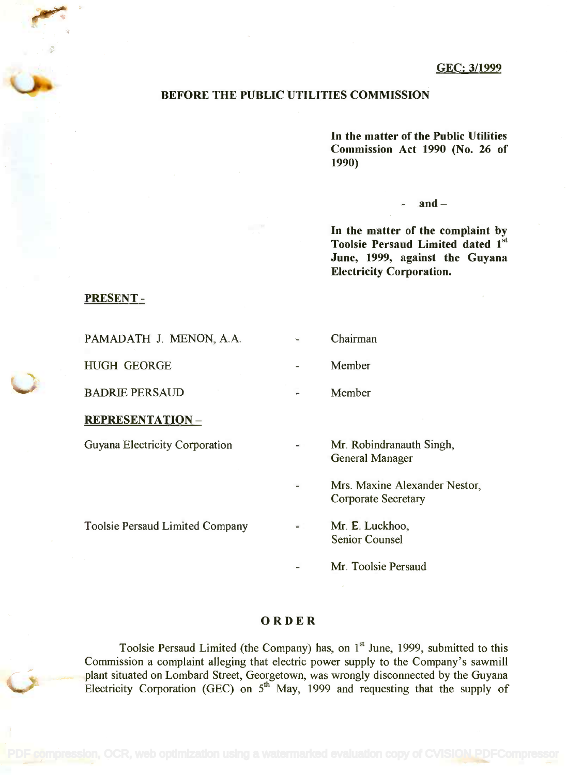## BEFORE THE PUBLIC UTILITIES COMMISSION

In the matter of the Public Utilities **In the matter of the Public Utilities** Commission Act 1990 (No. 26 of **Commission Act 1990 (No. 26 of** 1990) **1990)**

## $and -$

In the matter of the complaint by **In the matter of the complaint by** Toolsie Persaud Limited dated 1st **Toolsie Persaud Limited dated 1 st** June, 1999, against the Guyana **June, 1999, against the Guyana** Electricity Corporation. **Electricity Corporation.**

## PRESENT -

| Chairman                                                    |
|-------------------------------------------------------------|
| Member                                                      |
| Member                                                      |
|                                                             |
| Mr. Robindranauth Singh,<br><b>General Manager</b>          |
| Mrs. Maxine Alexander Nestor,<br><b>Corporate Secretary</b> |
| Mr. E. Luckhoo,<br><b>Senior Counsel</b>                    |
| Mr. Toolsie Persaud                                         |
|                                                             |

## ORDER

Toolsie Persaud Limited (the Company) has, on 1<sup>st</sup> June, 1999, submitted to this Commission a complaint alleging that electric power supply to the Company's sawmill Commission a complaint alleging that electric power supply to the Company's sawmill plant situated on Lombard Street, Georgetown, was wrongly disconnected by the Guyana Electricity Corporation (GEC) on  $5<sup>th</sup>$  May, 1999 and requesting that the supply of plant situated on Lombard Street, Georgetown, was wrongly disconnected by the Guyana Electricity Corporation (GEC) on  $5<sup>th</sup>$  May, 1999 and requesting that the supply of